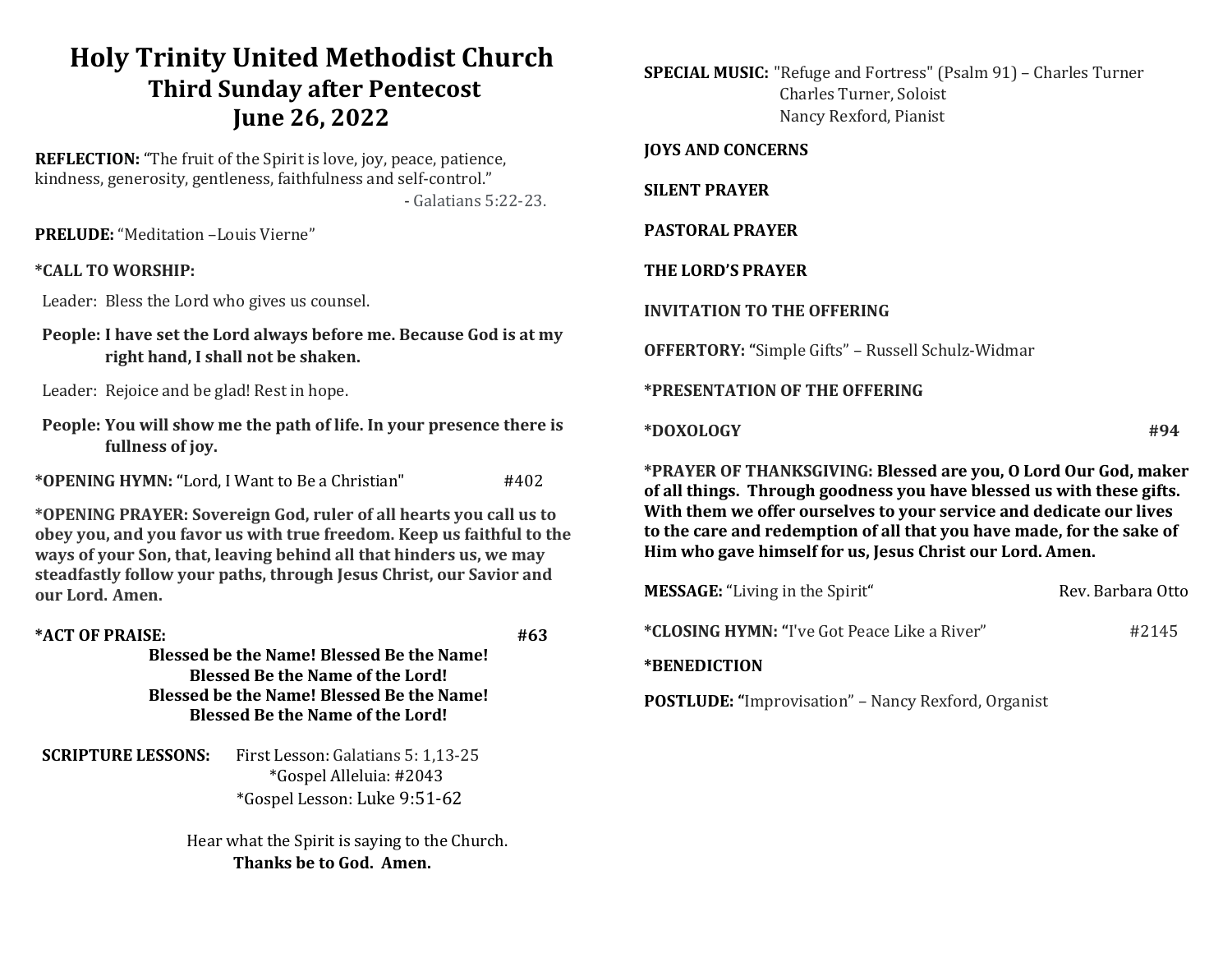# Holy Trinity United Methodist Church Third Sunday after Pentecost June 26, 2022

REFLECTION: "The fruit of the Spirit is love, joy, peace, patience, kindness, generosity, gentleness, faithfulness and self-control." - Galatians 5:22-23.

PRELUDE: "Meditation –Louis Vierne"

## \*CALL TO WORSHIP:

Leader: Bless the Lord who gives us counsel.

People: I have set the Lord always before me. Because God is at my right hand, I shall not be shaken.

Leader: Rejoice and be glad! Rest in hope.

People: You will show me the path of life. In your presence there is fullness of joy.

\*OPENING HYMN: "Lord, I Want to Be a Christian" #402

\*OPENING PRAYER: Sovereign God, ruler of all hearts you call us to obey you, and you favor us with true freedom. Keep us faithful to the ways of your Son, that, leaving behind all that hinders us, we may steadfastly follow your paths, through Jesus Christ, our Savior and our Lord. Amen.

# $*$ ACT OF PRAISE:  $#63$

Blessed be the Name! Blessed Be the Name! Blessed Be the Name of the Lord! Blessed be the Name! Blessed Be the Name! Blessed Be the Name of the Lord!

SCRIPTURE LESSONS: First Lesson: Galatians 5: 1,13-25 \*Gospel Alleluia: #2043 \*Gospel Lesson: Luke 9:51-62

> Hear what the Spirit is saying to the Church. Thanks be to God. Amen.

SPECIAL MUSIC: "Refuge and Fortress" (Psalm 91) – Charles Turner Charles Turner, Soloist Nancy Rexford, Pianist

#### JOYS AND CONCERNS

#### SILENT PRAYER

#### PASTORAL PRAYER

## THE LORD'S PRAYER

#### INVITATION TO THE OFFERING

OFFERTORY: "Simple Gifts" – Russell Schulz-Widmar

## \*PRESENTATION OF THE OFFERING

 $*$ DOXOLOGY  $*$ 

\*PRAYER OF THANKSGIVING: Blessed are you, O Lord Our God, maker of all things. Through goodness you have blessed us with these gifts. With them we offer ourselves to your service and dedicate our lives to the care and redemption of all that you have made, for the sake of Him who gave himself for us, Jesus Christ our Lord. Amen.

| <b>MESSAGE:</b> "Living in the Spirit"                     | Rev. Barbara Otto |
|------------------------------------------------------------|-------------------|
| <i>*CLOSING HYMN: "I've Got Peace Like a River"</i>        | #2145             |
| *BENEDICTION                                               |                   |
| <b>POSTLUDE: "Improvisation" – Nancy Rexford, Organist</b> |                   |